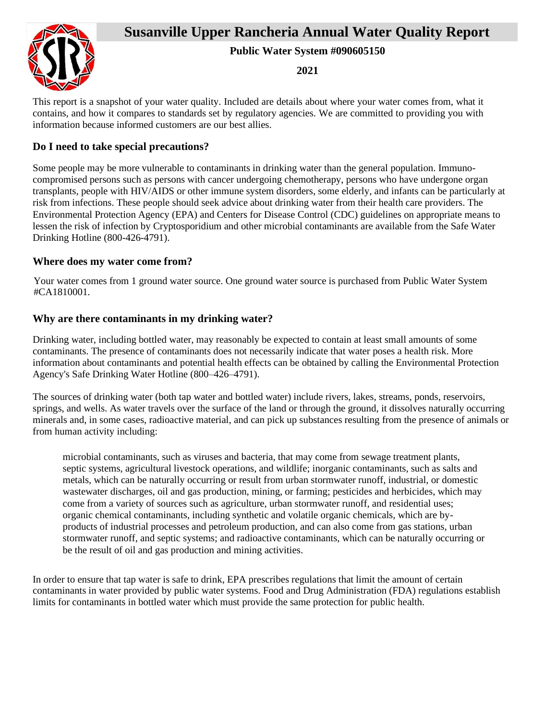# **Susanville Upper Rancheria Annual Water Quality Report**



**Public Water System #090605150**

**2021**

This report is a snapshot of your water quality. Included are details about where your water comes from, what it contains, and how it compares to standards set by regulatory agencies. We are committed to providing you with information because informed customers are our best allies.

## **Do I need to take special precautions?**

Some people may be more vulnerable to contaminants in drinking water than the general population. Immunocompromised persons such as persons with cancer undergoing chemotherapy, persons who have undergone organ transplants, people with HIV/AIDS or other immune system disorders, some elderly, and infants can be particularly at risk from infections. These people should seek advice about drinking water from their health care providers. The Environmental Protection Agency (EPA) and Centers for Disease Control (CDC) guidelines on appropriate means to lessen the risk of infection by Cryptosporidium and other microbial contaminants are available from the Safe Water Drinking Hotline (800-426-4791).

### **Where does my water come from?**

Your water comes from 1 ground water source. One ground water source is purchased from Public Water System #CA1810001.

### **Why are there contaminants in my drinking water?**

Drinking water, including bottled water, may reasonably be expected to contain at least small amounts of some contaminants. The presence of contaminants does not necessarily indicate that water poses a health risk. More information about contaminants and potential health effects can be obtained by calling the Environmental Protection Agency's Safe Drinking Water Hotline (800–426–4791).

The sources of drinking water (both tap water and bottled water) include rivers, lakes, streams, ponds, reservoirs, springs, and wells. As water travels over the surface of the land or through the ground, it dissolves naturally occurring minerals and, in some cases, radioactive material, and can pick up substances resulting from the presence of animals or from human activity including:

microbial contaminants, such as viruses and bacteria, that may come from sewage treatment plants, septic systems, agricultural livestock operations, and wildlife; inorganic contaminants, such as salts and metals, which can be naturally occurring or result from urban stormwater runoff, industrial, or domestic wastewater discharges, oil and gas production, mining, or farming; pesticides and herbicides, which may come from a variety of sources such as agriculture, urban stormwater runoff, and residential uses; organic chemical contaminants, including synthetic and volatile organic chemicals, which are byproducts of industrial processes and petroleum production, and can also come from gas stations, urban stormwater runoff, and septic systems; and radioactive contaminants, which can be naturally occurring or be the result of oil and gas production and mining activities.

In order to ensure that tap water is safe to drink, EPA prescribes regulations that limit the amount of certain contaminants in water provided by public water systems. Food and Drug Administration (FDA) regulations establish limits for contaminants in bottled water which must provide the same protection for public health.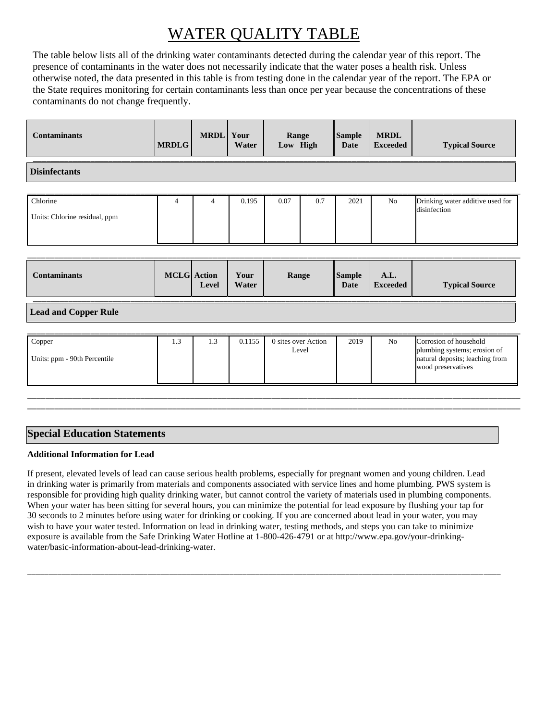# WATER QUALITY TABLE

The table below lists all of the drinking water contaminants detected during the calendar year of this report. The presence of contaminants in the water does not necessarily indicate that the water poses a health risk. Unless otherwise noted, the data presented in this table is from testing done in the calendar year of the report. The EPA or the State requires monitoring for certain contaminants less than once per year because the concentrations of these contaminants do not change frequently.

| <b>Disinfectants</b><br>Chlorine<br>0.07<br>Drinking water additive used for<br>0.195<br>0.7<br>2021<br>No<br>4<br>4<br>disinfection<br>Units: Chlorine residual, ppm<br><b>MCLG</b> Action<br><b>Contaminants</b><br><b>Sample</b><br>A.L.<br>Your<br>Range<br><b>Typical Source</b><br>Water<br><b>Exceeded</b><br>Date<br>Level | <b>Contaminants</b> | <b>MRDLG</b> | <b>MRDL</b> | Your<br>Water | Range<br>Low High |  | <b>Sample</b><br>Date | <b>MRDL</b><br><b>Exceeded</b> | <b>Typical Source</b> |
|------------------------------------------------------------------------------------------------------------------------------------------------------------------------------------------------------------------------------------------------------------------------------------------------------------------------------------|---------------------|--------------|-------------|---------------|-------------------|--|-----------------------|--------------------------------|-----------------------|
|                                                                                                                                                                                                                                                                                                                                    |                     |              |             |               |                   |  |                       |                                |                       |
|                                                                                                                                                                                                                                                                                                                                    |                     |              |             |               |                   |  |                       |                                |                       |
|                                                                                                                                                                                                                                                                                                                                    |                     |              |             |               |                   |  |                       |                                |                       |

#### **Lead and Copper Rule**

| Copper<br>Units: ppm - 90th Percentile | ر. . | 1.3 | 0.1155 | 0 sites over Action<br>Level | 2019 | N <sub>o</sub> | Corrosion of household<br>plumbing systems; erosion of<br>natural deposits; leaching from |
|----------------------------------------|------|-----|--------|------------------------------|------|----------------|-------------------------------------------------------------------------------------------|
|                                        |      |     |        |                              |      |                | wood preservatives                                                                        |

\_\_\_\_\_\_\_\_\_\_\_\_\_\_\_\_\_\_\_\_\_\_\_\_\_\_\_\_\_\_\_\_\_\_\_\_\_\_\_\_\_\_\_\_\_\_\_\_\_\_\_\_\_\_\_\_\_\_\_\_\_\_\_\_\_\_\_\_\_\_\_\_\_\_\_\_\_\_\_\_\_\_\_\_\_\_\_\_\_\_\_\_\_\_\_\_\_\_\_\_\_\_\_\_\_\_\_\_\_ \_\_\_\_\_\_\_\_\_\_\_\_\_\_\_\_\_\_\_\_\_\_\_\_\_\_\_\_\_\_\_\_\_\_\_\_\_\_\_\_\_\_\_\_\_\_\_\_\_\_\_\_\_\_\_\_\_\_\_\_\_\_\_\_\_\_\_\_\_\_\_\_\_\_\_\_\_\_\_\_\_\_\_\_\_\_\_\_\_\_\_\_\_\_\_\_\_\_\_\_\_\_\_\_\_\_\_\_\_

### **Special Education Statements**

#### **Additional Information for Lead**

If present, elevated levels of lead can cause serious health problems, especially for pregnant women and young children. Lead in drinking water is primarily from materials and components associated with service lines and home plumbing. PWS system is responsible for providing high quality drinking water, but cannot control the variety of materials used in plumbing components. When your water has been sitting for several hours, you can minimize the potential for lead exposure by flushing your tap for 30 seconds to 2 minutes before using water for drinking or cooking. If you are concerned about lead in your water, you may wish to have your water tested. Information on lead in drinking water, testing methods, and steps you can take to minimize exposure is available from the Safe Drinking Water Hotline at 1-800-426-4791 or at http://www.epa.gov/your-drinkingwater/basic-information-about-lead-drinking-water.

\_\_\_\_\_\_\_\_\_\_\_\_\_\_\_\_\_\_\_\_\_\_\_\_\_\_\_\_\_\_\_\_\_\_\_\_\_\_\_\_\_\_\_\_\_\_\_\_\_\_\_\_\_\_\_\_\_\_\_\_\_\_\_\_\_\_\_\_\_\_\_\_\_\_\_\_\_\_\_\_\_\_\_\_\_\_\_\_\_\_\_\_\_\_\_\_\_\_\_\_\_\_\_\_\_\_\_\_\_\_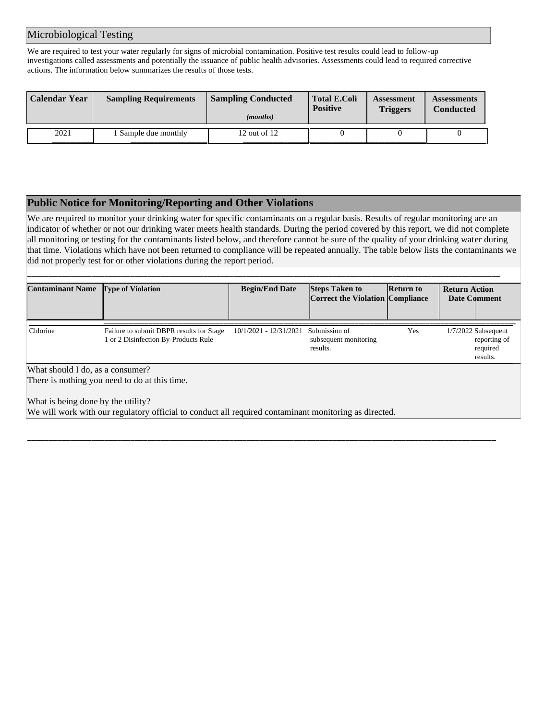#### Microbiological Testing

We are required to test your water regularly for signs of microbial contamination. Positive test results could lead to follow-up investigations called assessments and potentially the issuance of public health advisories. Assessments could lead to required corrective actions. The information below summarizes the results of those tests.

| Calendar Year | <b>Sampling Requirements</b> | <b>Sampling Conducted</b><br>( <i>months</i> ) | <b>Total E.Coli</b><br><b>Positive</b> | <b>Assessment</b><br><b>Triggers</b> | <b>Assessments</b><br>Conducted |
|---------------|------------------------------|------------------------------------------------|----------------------------------------|--------------------------------------|---------------------------------|
| 2021          | Sample due monthly           | 12 out of 12                                   |                                        |                                      |                                 |

#### **Public Notice for Monitoring/Reporting and Other Violations**

We are required to monitor your drinking water for specific contaminants on a regular basis. Results of regular monitoring are an indicator of whether or not our drinking water meets health standards. During the period covered by this report, we did not complete all monitoring or testing for the contaminants listed below, and therefore cannot be sure of the quality of your drinking water during that time. Violations which have not been returned to compliance will be repeated annually. The table below lists the contaminants we did not properly test for or other violations during the report period.

| <b>Contaminant Name</b> Type of Violation                                                                                                                                                                                        |                                                                                  | <b>Begin/End Date</b>  | <b>Steps Taken to</b><br><b>Correct the Violation Compliance</b> | Return to | <b>Return Action</b><br>Date Comment                          |
|----------------------------------------------------------------------------------------------------------------------------------------------------------------------------------------------------------------------------------|----------------------------------------------------------------------------------|------------------------|------------------------------------------------------------------|-----------|---------------------------------------------------------------|
| Chlorine                                                                                                                                                                                                                         | Failure to submit DBPR results for Stage<br>1 or 2 Disinfection By-Products Rule | 10/1/2021 - 12/31/2021 | Submission of<br>subsequent monitoring<br>results.               | Yes       | $1/7/2022$ Subsequent<br>reporting of<br>required<br>results. |
| What should I do, as a consumer?<br>There is nothing you need to do at this time.<br>What is being done by the utility?<br>We will work with our regulatory official to conduct all required contaminant monitoring as directed. |                                                                                  |                        |                                                                  |           |                                                               |

\_\_\_\_\_\_\_\_\_\_\_\_\_\_\_\_\_\_\_\_\_\_\_\_\_\_\_\_\_\_\_\_\_\_\_\_\_\_\_\_\_\_\_\_\_\_\_\_\_\_\_\_\_\_\_\_\_\_\_\_\_\_\_\_\_\_\_\_\_\_\_\_\_\_\_\_\_\_\_\_\_\_\_\_\_\_\_\_\_\_\_\_\_\_\_\_\_\_\_\_\_\_\_\_\_\_\_\_\_